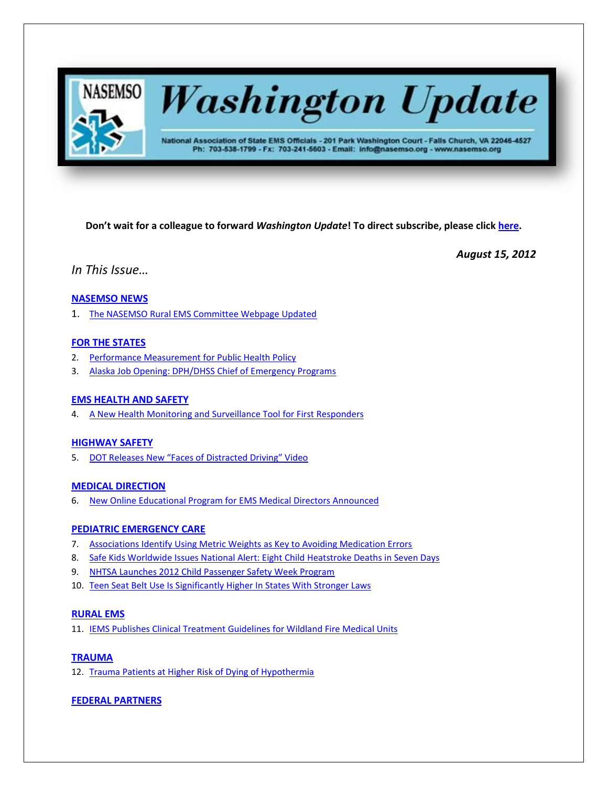

# **Washington Update**

National Association of State EMS Officials - 201 Park Washington Court - Falls Church, VA 22046-4527 Ph: 703-538-1799 - Fx: 703-241-5603 - Email: info@nasemso.org - www.nasemso.org

**Don't wait for a colleague to forward** *Washington Update***! To direct subscribe, please click [here.](http://lists.nasemso.org/read/all_forums/subscribe?name=wu%20)**

*August 15, 2012*

*In This Issue…*

# **[NASEMSO NEWS](#page-1-0)**

1. [The NASEMSO Rural EMS Committee Webpage Updated](#page-1-0)

# **[FOR THE STATES](#page-1-1)**

- 2. [Performance Measurement for Public Health Policy](#page-1-2)
- 3. [Alaska Job Opening: DPH/DHSS Chief of Emergency Programs](#page-1-3)

# **[EMS HEALTH AND SAFETY](#page-1-4)**

4. [A New Health Monitoring and Surveillance Tool for First Responders](#page-2-0)

# **[HIGHWAY SAFETY](#page-2-1)**

5. [DOT Releases New "Faces of Distracted Driving" Video](#page-2-2)

# **[MEDICAL DIRECTION](#page-2-3)**

6. New Online [Educational Program for EMS Medical Directors Announced](#page-2-4)

# **[PEDIATRIC EMERGENCY CARE](#page-2-5)**

- 7. [Associations Identify Using Metric Weights](#page-2-6) as Key to Avoiding Medication Errors
- 8. [Safe Kids Worldwide Issues National Alert: Eight Child Heatstroke Deaths in Seven Days](#page-2-7)
- 9. [NHTSA Launches 2012 Child Passenger Safety Week Program](#page-3-0)
- 10. [Teen Seat Belt Use Is Significantly Higher In States With Stronger Laws](#page-3-1)

# **[RURAL EMS](#page-3-2)**

11. [IEMS Publishes Clinical Treatment Guidelines for Wildland Fire Medical Units](#page-3-3)

# **[TRAUMA](#page-3-4)**

12. [Trauma Patients at Higher Risk of Dying of Hypothermia](#page-3-5)

# **[FEDERAL PARTNERS](#page-3-6)**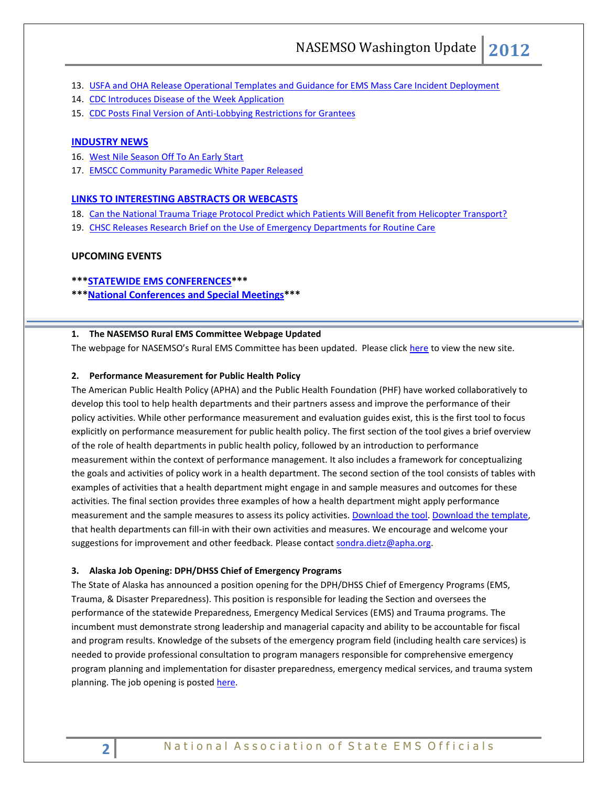- 13. [USFA and OHA Release Operational Templates and Guidance for EMS Mass Care Incident Deployment](#page-3-7)
- 14. [CDC Introduces Disease of the Week Application](#page-3-8)
- 15. [CDC Posts Final Version of Anti-Lobbying Restrictions for Grantees](#page-4-0)

# **[INDUSTRY NEWS](#page-4-1)**

- 16. [West Nile Season Off To An Early Start](#page-4-2)
- 17. [EMSCC Community Paramedic White Paper Released](#page-4-3)

## **[LINKS TO INTERESTING ABSTRACTS OR WEBCASTS](#page-4-4)**

- 18. [Can the National Trauma Triage Protocol Predict which Patients Will Benefit from Helicopter Transport?](#page-4-5)
- 19. [CHSC Releases Research Brief on the Use of Emergency Departments for Routine Care](#page-4-6)

# **UPCOMING EVENTS**

- **\*\*[\\*STATEWIDE EMS CONFERENCES\\*](#page-5-0)\*\***
- **\*\*[\\*National Conferences and Special Meetings\\*](#page-5-1)\*\***

# <span id="page-1-0"></span>**1. The NASEMSO Rural EMS Committee Webpage Updated**

<span id="page-1-1"></span>The webpage for NASEMSO's Rural EMS Committee has been updated. Please click [here](http://www.nasemso.org/Projects/RuralEMS/) to view the new site.

## <span id="page-1-2"></span>**2. Performance Measurement for Public Health Policy**

The American Public Health Policy (APHA) and the [Public Health Foundation](http://www.phf.org/) (PHF) have worked collaboratively to develop this [tool](http://www.apha.org/NR/rdonlyres/2F84DA58-E849-482A-AE80-FEFDCFFE1A20/0/PolicyPerformanceMeasurementTool_FINAL_080112.pdf) to help health departments and their partners assess and improve the performance of their policy activities. While other performance measurement and evaluation guides exist, this is the first tool to focus explicitly on performance measurement for public health policy. The first section of the tool gives a brief overview of the role of health departments in public health policy, followed by an introduction to performance measurement within the context of performance management. It also includes a framework for conceptualizing the goals and activities of policy work in a health department. The second section of the tool consists of tables with examples of activities that a health department might engage in and sample measures and outcomes for these activities. The final section provides three examples of how a health department might apply performance measurement and the sample measures to assess its policy activities. [Download the tool.](http://www.apha.org/NR/rdonlyres/2F84DA58-E849-482A-AE80-FEFDCFFE1A20/0/PolicyPerformanceMeasurementTool_FINAL_080112.pdf) [Download the template,](http://www.apha.org/NR/rdonlyres/715EDD3A-E7C9-4E49-B468-956406AC2C2E/0/PolicyPerformanceMeasurementTemplate.doc) that health departments can fill-in with their own activities and measures. We encourage and welcome your suggestions for improvement and other feedback. Please contact [sondra.dietz@apha.org.](mailto:sondra.dietz@apha.org)

#### <span id="page-1-3"></span>**3. Alaska Job Opening: DPH/DHSS Chief of Emergency Programs**

<span id="page-1-4"></span>The State of Alaska has announced a position opening for the DPH/DHSS Chief of Emergency Programs (EMS, Trauma, & Disaster Preparedness). This position is responsible for leading the Section and oversees the performance of the statewide Preparedness, Emergency Medical Services (EMS) and Trauma programs. The incumbent must demonstrate strong leadership and managerial capacity and ability to be accountable for fiscal and program results. Knowledge of the subsets of the emergency program field (including health care services) is needed to provide professional consultation to program managers responsible for comprehensive emergency program planning and implementation for disaster preparedness, emergency medical services, and trauma system planning. The job opening is poste[d here.](http://notes5.state.ak.us/wa/PostApps.nsf/0/7257844E8F99C50689257A480083C4BB?OpenDocument)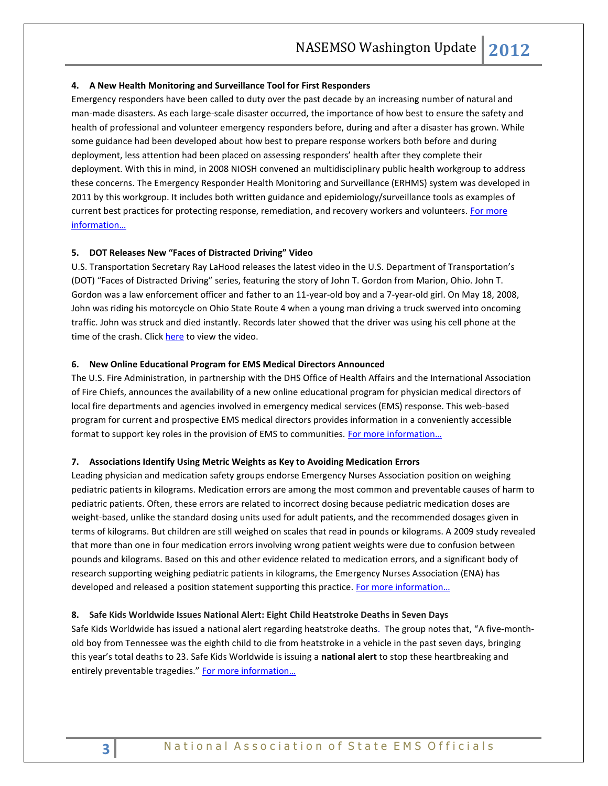## <span id="page-2-0"></span>**4. A New Health Monitoring and Surveillance Tool for First Responders**

Emergency responders have been called to duty over the past decade by an increasing number of natural and man-made disasters. As each large-scale disaster occurred, the importance of how best to ensure the safety and health of professional and volunteer emergency responders before, during and after a disaster has grown. While some guidance had been developed about how best to prepare response workers both before and during deployment, less attention had been placed on assessing responders' health after they complete their deployment. With this in mind, in 2008 NIOSH convened an multidisciplinary public health workgroup to address these concerns. The Emergency Responder Health Monitoring and Surveillance (ERHMS) system was developed in 2011 by this workgroup. It includes both written guidance and epidemiology/surveillance tools as examples of current best practices for protecting response, remediation, and recovery workers and volunteers. For more [information…](http://www.cdc.gov/niosh/enews/enewsV10N4.html#director)

## <span id="page-2-2"></span><span id="page-2-1"></span>**5. DOT Releases New "Faces of Distracted Driving" Video**

U.S. Transportation Secretary Ray LaHood releases the latest video in the U.S. Department of Transportation's (DOT) "Faces of Distracted Driving" series, featuring the story of John T. Gordon from Marion, Ohio. John T. Gordon was a law enforcement officer and father to an 11-year-old boy and a 7-year-old girl. On May 18, 2008, John was riding his motorcycle on Ohio State Route 4 when a young man driving a truck swerved into oncoming traffic. John was struck and died instantly. Records later showed that the driver was using his cell phone at the time of the crash. Clic[k here](http://www.youtube.com/watch?v=dQ-FJqmcxq8&feature=youtu.be) to view the video.

#### <span id="page-2-4"></span><span id="page-2-3"></span>**6. New Online Educational Program for EMS Medical Directors Announced**

The U.S. Fire Administration, in partnership with the DHS Office of Health Affairs and the International Association of Fire Chiefs, announces the availability of a new online educational program for physician medical directors of local fire departments and agencies involved in emergency medical services (EMS) response. This web-based program for current and prospective EMS medical directors provides information in a conveniently accessible format to support key roles in the provision of EMS to communities. For more information...

#### <span id="page-2-6"></span><span id="page-2-5"></span>**7. Associations Identify Using Metric Weights as Key to Avoiding Medication Errors**

Leading physician and medication safety groups endorse Emergency Nurses Association position on weighing pediatric patients in kilograms. Medication errors are among the most common and preventable causes of harm to pediatric patients. Often, these errors are related to incorrect dosing because pediatric medication doses are weight-based, unlike the standard dosing units used for adult patients, and the recommended dosages given in terms of kilograms. But children are still weighed on scales that read in pounds or kilograms. A 2009 study revealed that more than one in four medication errors involving wrong patient weights were due to confusion between pounds and kilograms. Based on this and other evidence related to medication errors, and a significant body of research supporting weighing pediatric patients in kilograms, the Emergency Nurses Association (ENA) has developed and released a position statement supporting this practice. For more information...

#### <span id="page-2-7"></span>**8. Safe Kids Worldwide Issues National Alert: Eight Child Heatstroke Deaths in Seven Days**

Safe Kids Worldwide has issued a national alert regarding heatstroke deaths. The group notes that, "A five-monthold boy from Tennessee was the eighth child to die from heatstroke in a vehicle in the past seven days, bringing this year's total deaths to 23. Safe Kids Worldwide is issuing a **national alert** to stop these heartbreaking and entirely preventable tragedies." For more information...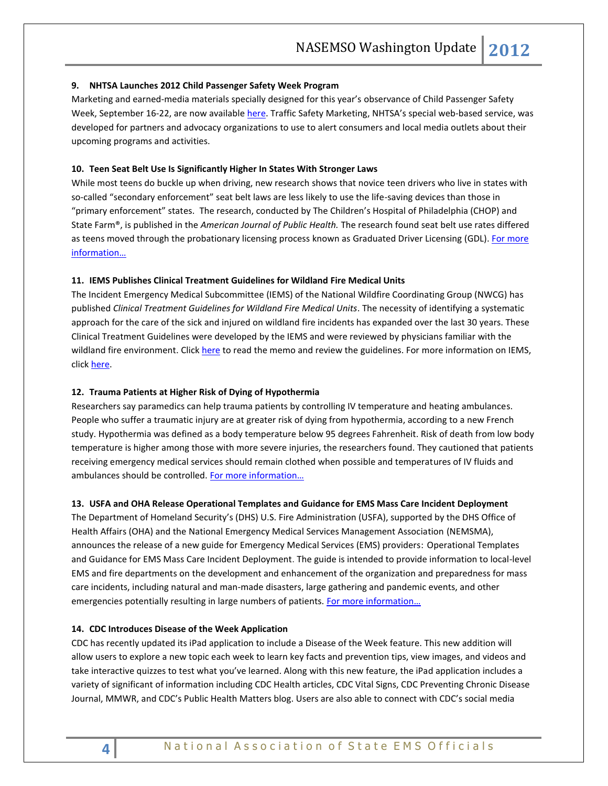## <span id="page-3-0"></span>**9. NHTSA Launches 2012 Child Passenger Safety Week Program**

Marketing and earned‐media materials specially designed for this year's observance of Child Passenger Safety Week, September 16-22, are now available [here.](http://www.trafficsafetymarketing.gov/cpsweek2012) Traffic Safety Marketing, NHTSA's special web-based service, was developed for partners and advocacy organizations to use to alert consumers and local media outlets about their upcoming programs and activities.

# <span id="page-3-1"></span>**10. Teen Seat Belt Use Is Significantly Higher In States With Stronger Laws**

While most teens do buckle up when driving, new research shows that novice teen drivers who live in states with so-called "secondary enforcement" seat belt laws are less likely to use the life-saving devices than those in "primary enforcement" states. The research, conducted by The Children's Hospital of Philadelphia (CHOP) and State Farm®, is published in the *American Journal of Public Health.* The research found seat belt use rates differed as teens moved through the probationary licensing process known as Graduated Driver Licensing (GDL). For more [information…](http://www.teendriversource.org/news/article/42)

## <span id="page-3-3"></span><span id="page-3-2"></span>**11. IEMS Publishes Clinical Treatment Guidelines for Wildland Fire Medical Units**

The Incident Emergency Medical Subcommittee (IEMS) of the National Wildfire Coordinating Group (NWCG) has published *Clinical Treatment Guidelines for Wildland Fire Medical Units*. The necessity of identifying a systematic approach for the care of the sick and injured on wildland fire incidents has expanded over the last 30 years. These Clinical Treatment Guidelines were developed by the IEMS and were reviewed by physicians familiar with the wildland fire environment. Clic[k here](http://www.nasemso.org/Projects/RuralEMS/WildlandFire.asp) to read the memo and review the guidelines. For more information on IEMS, click [here.](http://www.nwcg.gov/branches/pre/rmc/iems/index.html) 

## <span id="page-3-5"></span><span id="page-3-4"></span>**12. Trauma Patients at Higher Risk of Dying of Hypothermia**

Researchers say paramedics can help trauma patients by controlling IV temperature and heating ambulances. People who suffer a traumatic injury are at greater risk of dying from hypothermia, according to a new French study. Hypothermia was defined as a body temperature below 95 degrees Fahrenheit. Risk of death from low body temperature is higher among those with more severe injuries, the researchers found. They cautioned that patients receiving emergency medical services should remain clothed when possible and temperatures of IV fluids and ambulances should be controlled. [For more information…](http://health.usnews.com/health-news/news/articles/2012/08/03/trauma-patients-at-higher-risk-of-dying-of-hypothermia-study)

## <span id="page-3-7"></span><span id="page-3-6"></span>**13. USFA and OHA Release Operational Templates and Guidance for EMS Mass Care Incident Deployment**

The Department of Homeland Security's (DHS) U.S. Fire Administration (USFA), supported by the DHS Office of Health Affairs (OHA) and the National Emergency Medical Services Management Association (NEMSMA), announces the release of a new guide for Emergency Medical Services (EMS) providers: Operational Templates and Guidance for EMS Mass Care Incident Deployment. The guide is intended to provide information to local-level EMS and fire departments on the development and enhancement of the organization and preparedness for mass care incidents, including natural and man-made disasters, large gathering and pandemic events, and other emergencies potentially resulting in large numbers of patients. For more information...

## <span id="page-3-8"></span>**14. CDC Introduces Disease of the Week Application**

CDC has recently updated its iPad application to include a Disease of the Week feature. This new addition will allow users to explore a new topic each week to learn key facts and prevention tips, view images, and videos and take interactive quizzes to test what you've learned. Along with this new feature, the iPad application includes a variety of significant of information including CDC Health articles, CDC Vital Signs, CDC Preventing Chronic Disease Journal, MMWR, and CDC's Public Health Matters blog. Users are also able to connect with CDC's social media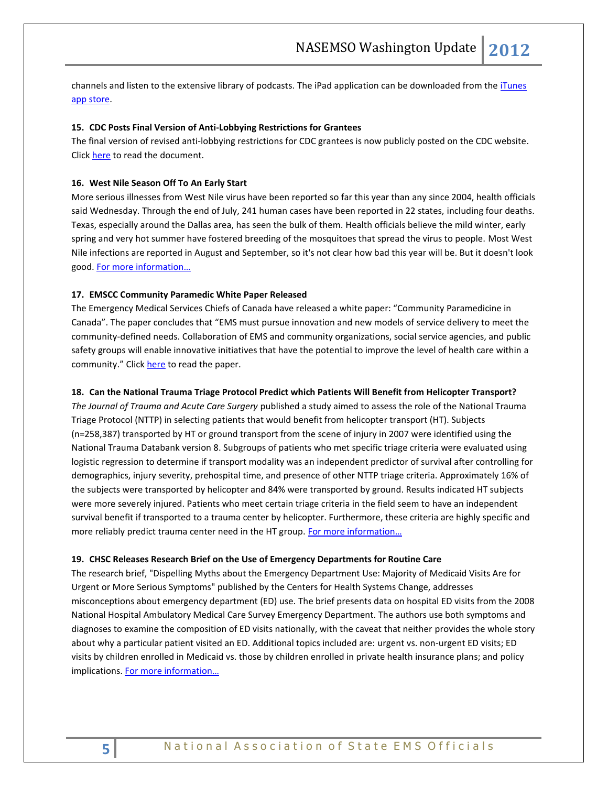channels and listen to the extensive library of podcasts. The iPad application can be downloaded from the *iTunes* [app store.](http://links.govdelivery.com/track?type=click&enid=ZWFzPTEmbWFpbGluZ2lkPTIwMTIwODAxLjk0NjE2NDEmbWVzc2FnZWlkPU1EQi1QUkQtQlVMLTIwMTIwODAxLjk0NjE2NDEmZGF0YWJhc2VpZD0xMDAxJnNlcmlhbD0xNzEwMDMwNSZlbWFpbGlkPWFsdGVyQG5hc2Vtc28ub3JnJnVzZXJpZD1hbHRlckBuYXNlbXNvLm9yZyZmbD0mZXh0cmE9TXVsdGl2YXJpYXRlSWQ9JiYm&&&100&&&http://itunes.apple.com/us/app/cdc/id487847188?ls=1&mt=8)

# <span id="page-4-0"></span>**15. CDC Posts Final Version of Anti-Lobbying Restrictions for Grantees**

The final version of revised anti-lobbying restrictions for CDC grantees is now publicly posted on the CDC website. Click [here](http://www.cdc.gov/od/pgo/funding/grants/Anti-Lobbying_Restrictions_for_CDC_Grantees_July_2012.pdf) to read the document.

#### <span id="page-4-2"></span><span id="page-4-1"></span>**16. West Nile Season Off To An Early Start**

More serious illnesses from West Nile virus have been reported so far this year than any since 2004, health officials said Wednesday. Through the end of July, 241 human cases have been reported in 22 states, including four deaths. Texas, especially around the Dallas area, has seen the bulk of them. Health officials believe the mild winter, early spring and very hot summer have fostered breeding of the mosquitoes that spread the virus to people. Most West Nile infections are reported in August and September, so it's not clear how bad this year will be. But it doesn't look good. Fo[r more information…](http://www.hstoday.us/single-article/cdc-west-nile-season-off-to-an-early-start/fb5e0bc1db73486add7117fbbc2bfa8e.html)

## <span id="page-4-3"></span>**17. EMSCC Community Paramedic White Paper Released**

The Emergency Medical Services Chiefs of Canada have released a white paper: "Community Paramedicine in Canada". The paper concludes that "EMS must pursue innovation and new models of service delivery to meet the community-defined needs. Collaboration of EMS and community organizations, social service agencies, and public safety groups will enable innovative initiatives that have the potential to improve the level of health care within a community." Click [here](https://www.nasemso.org/Projects/RuralEMS/documents/CommunityParamedicineCanada.pdf) to read the paper.

#### <span id="page-4-5"></span><span id="page-4-4"></span>**18. Can the National Trauma Triage Protocol Predict which Patients Will Benefit from Helicopter Transport?**

*The Journal of Trauma and Acute Care Surgery* published a study aimed to assess the role of the National Trauma Triage Protocol (NTTP) in selecting patients that would benefit from helicopter transport (HT). Subjects (n=258,387) transported by HT or ground transport from the scene of injury in 2007 were identified using the National Trauma Databank version 8. Subgroups of patients who met specific triage criteria were evaluated using logistic regression to determine if transport modality was an independent predictor of survival after controlling for demographics, injury severity, prehospital time, and presence of other NTTP triage criteria. Approximately 16% of the subjects were transported by helicopter and 84% were transported by ground. Results indicated HT subjects were more severely injured. Patients who meet certain triage criteria in the field seem to have an independent survival benefit if transported to a trauma center by helicopter. Furthermore, these criteria are highly specific and more reliably predict trauma center need in the HT group. For more information...

#### <span id="page-4-6"></span>**19. CHSC Releases Research Brief on the Use of Emergency Departments for Routine Care**

The research brief, "Dispelling Myths about the Emergency Department Use: Majority of Medicaid Visits Are for Urgent or More Serious Symptoms" published by the Centers for Health Systems Change, addresses misconceptions about emergency department (ED) use. The brief presents data on hospital ED visits from the 2008 National Hospital Ambulatory Medical Care Survey Emergency Department. The authors use both symptoms and diagnoses to examine the composition of ED visits nationally, with the caveat that neither provides the whole story about why a particular patient visited an ED. Additional topics included are: urgent vs. non-urgent ED visits; ED visits by children enrolled in Medicaid vs. those by children enrolled in private health insurance plans; and policy implications. [For more information…](http://hschange.org/CONTENT/1302/)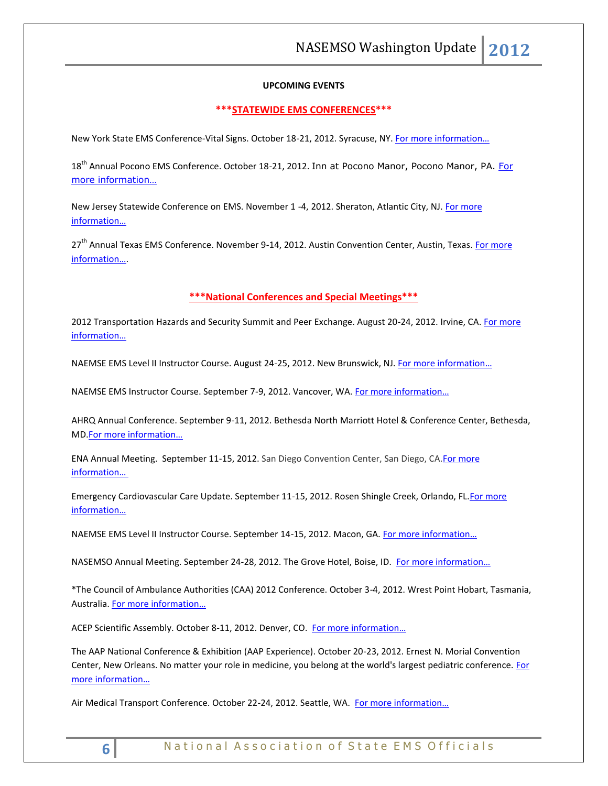# **UPCOMING EVENTS**

## <span id="page-5-0"></span>**\*\*\*STATEWIDE EMS CONFERENCES\*\*\***

New York State EMS Conference-Vital Signs. October 18-21, 2012. Syracuse, NY. [For more information…](http://www.vitalsignsconference.com/)

18<sup>th</sup> Annual Pocono EMS Conference. October 18-21, 2012. Inn at Pocono Manor, Pocono Manor, PA. For [more information…](http://www.poconoemsconference.com/)

New Jersey Statewide Conference on EMS. November 1 -4, 2012. Sheraton, Atlantic City, NJ. For more [information…](http://www.njemsconference.com/)

27<sup>th</sup> Annual Texas EMS Conference. November 9-14, 2012. Austin Convention Center, Austin, Texas. For more [information…](http://www.texasemsconference.com/).

# **\*\*\*National Conferences and Special Meetings\*\*\***

<span id="page-5-1"></span>2012 Transportation Hazards and Security Summit and Peer Exchange. August 20-24, 2012. Irvine, CA. For more [information…](http://www.trb.org/Calendar/Blurbs/166997.aspx)

NAEMSE EMS Level II Instructor Course. August 24-25, 2012. New Brunswick, NJ. For more information...

NAEMSE EMS Instructor Course. September 7-9, 2012. Vancover, WA. [For more information…](http://www.naemse.org/instructor-course/)

AHRQ Annual Conference. September 9-11, 2012. Bethesda North Marriott Hotel & Conference Center, Bethesda, MD.[For more information…](http://meetings.capconcorp.com/ahrq/)

ENA Annual Meeting. September 11-15, 2012. San Diego Convention Center, San Diego, CA[.For more](http://www.ena.org/coursesandeducation/conferences/Pages/Default.aspx)  [information…](http://www.ena.org/coursesandeducation/conferences/Pages/Default.aspx)

Emergency Cardiovascular Care Update. September 11-15, 2012. Rosen Shingle Creek, Orlando, FL[.For more](http://www.eccu2012.com/)  [information…](http://www.eccu2012.com/)

NAEMSE EMS Level II Instructor Course. September 14-15, 2012. Macon, GA. For more information...

NASEMSO Annual Meeting. September 24-28, 2012. The Grove Hotel, Boise, ID. [For more information…](http://www.nasemso.org/Meetings/Annual/AnnualMeeting2012.asp)

\*The Council of Ambulance Authorities (CAA) 2012 Conference. October 3-4, 2012. Wrest Point Hobart, Tasmania, Australia. [For more information…](http://caa.net.au/en/)

ACEP Scientific Assembly. October 8-11, 2012. Denver, CO. For more information...

The AAP National Conference & Exhibition (AAP Experience). October 20-23, 2012. Ernest N. Morial Convention Center, New Orleans. No matter your role in medicine, you belong at the world's largest pediatric conference. For [more information…](http://www.aapexperience.org/)

Air Medical Transport Conference. October 22-24, 2012. Seattle, WA. For more information...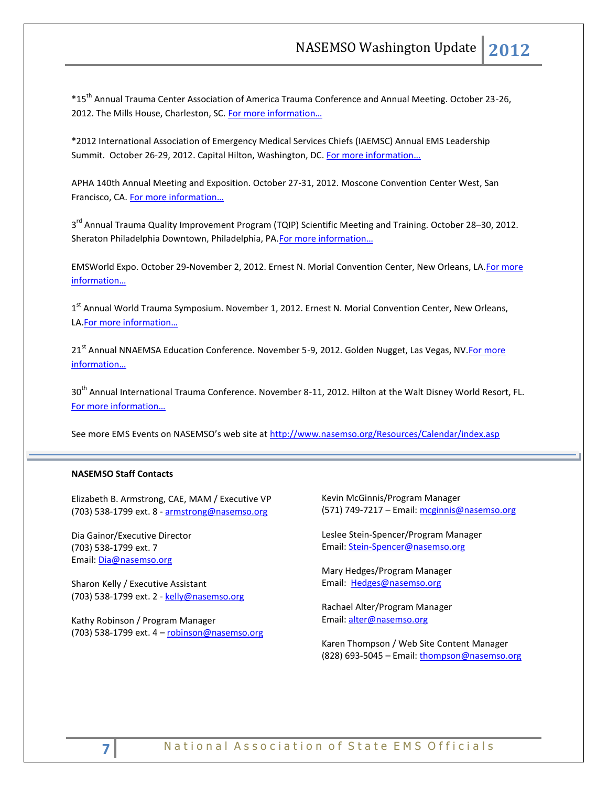\*15th Annual Trauma Center Association of America Trauma Conference and Annual Meeting. October 23-26, 2012. The Mills House, Charleston, SC. For more information...

\*2012 International Association of Emergency Medical Services Chiefs (IAEMSC) Annual EMS Leadership Summit. October 26-29, 2012. Capital Hilton, Washington, DC. [For more information…](http://www.iaemsc.org/conference.html)

APHA 140th Annual Meeting and Exposition. October 27-31, 2012. Moscone Convention Center West, San Francisco, CA. [For more information…](http://www.apha.org/meetings/AnnualMeeting/)

3<sup>rd</sup> Annual Trauma Quality Improvement Program (TQIP) Scientific Meeting and Training. October 28–30, 2012. Sheraton Philadelphia Downtown, Philadelphia, PA.[For more information…](http://www.facs.org/trauma/ntdb/tqip-meeting.html)

EMSWorld Expo. October 29-November 2, 2012. Ernest N. Morial Convention Center, New Orleans, LA[.For more](http://emsworldexpo.com/)  [information…](http://emsworldexpo.com/)

1<sup>st</sup> Annual World Trauma Symposium. November 1, 2012. Ernest N. Morial Convention Center, New Orleans, LA.[For more information…](http://www.worldtraumasymposium.com/)

21<sup>st</sup> Annual NNAEMSA Education Conference. November 5-9, 2012. Golden Nugget, Las Vegas, NV. For more [information…](http://www.nnaemsa.org/)

30<sup>th</sup> Annual International Trauma Conference. November 8-11, 2012. Hilton at the Walt Disney World Resort, FL. [For more information…](http://www.itrauma.org/conference/)

See more EMS Events on NASEMSO's web site at <http://www.nasemso.org/Resources/Calendar/index.asp>

# **NASEMSO Staff Contacts**

Elizabeth B. Armstrong, CAE, MAM / Executive VP (703) 538-1799 ext. 8 - [armstrong@nasemso.org](mailto:armstrong@nasemso.org)

Dia Gainor/Executive Director (703) 538-1799 ext. 7 Email: [Dia@nasemso.org](mailto:Dia@nasemso.org)

Sharon Kelly / Executive Assistant (703) 538-1799 ext. 2 - [kelly@nasemso.org](mailto:kelly@nasemso.org)

Kathy Robinson / Program Manager (703) 538-1799 ext. 4 – [robinson@nasemso.org](mailto:robinson@nasemso.org) Kevin McGinnis/Program Manager (571) 749-7217 – Email: [mcginnis@nasemso.org](mailto:mcginnis@nasemso.org)

Leslee Stein-Spencer/Program Manager Email: [Stein-Spencer@nasemso.org](mailto:Stein-Spencer@nasemso.org)

Mary Hedges/Program Manager Email: [Hedges@nasemso.org](mailto:Hedges@nasemso.org)

Rachael Alter/Program Manager Email: [alter@nasemso.org](mailto:alter@nasemso.org)

Karen Thompson / Web Site Content Manager (828) 693-5045 – Email: [thompson@nasemso.org](mailto:thompson@nasemso.org)